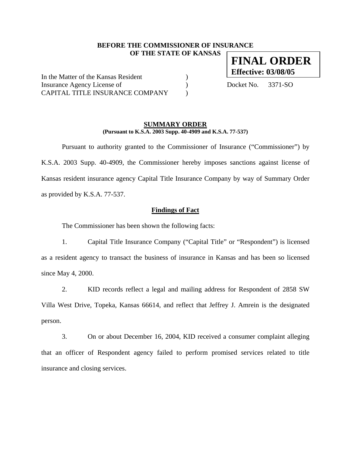# **BEFORE THE COMMISSIONER OF INSURANCE OF THE STATE OF KANSAS**

In the Matter of the Kansas Resident (1) Insurance Agency License of  $Docket No. 3371-SO$ CAPITAL TITLE INSURANCE COMPANY  $\qquad)$ 

# **SUMMARY ORDER (Pursuant to K.S.A. 2003 Supp. 40-4909 and K.S.A. 77-537)**

 Pursuant to authority granted to the Commissioner of Insurance ("Commissioner") by K.S.A. 2003 Supp. 40-4909, the Commissioner hereby imposes sanctions against license of Kansas resident insurance agency Capital Title Insurance Company by way of Summary Order as provided by K.S.A. 77-537.

#### **Findings of Fact**

The Commissioner has been shown the following facts:

1. Capital Title Insurance Company ("Capital Title" or "Respondent") is licensed as a resident agency to transact the business of insurance in Kansas and has been so licensed since May 4, 2000.

2. KID records reflect a legal and mailing address for Respondent of 2858 SW Villa West Drive, Topeka, Kansas 66614, and reflect that Jeffrey J. Amrein is the designated person.

3. On or about December 16, 2004, KID received a consumer complaint alleging that an officer of Respondent agency failed to perform promised services related to title insurance and closing services.

**FINAL ORDER Effective: 03/08/05**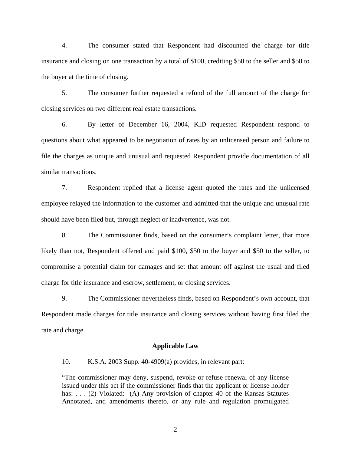4. The consumer stated that Respondent had discounted the charge for title insurance and closing on one transaction by a total of \$100, crediting \$50 to the seller and \$50 to the buyer at the time of closing.

5. The consumer further requested a refund of the full amount of the charge for closing services on two different real estate transactions.

6. By letter of December 16, 2004, KID requested Respondent respond to questions about what appeared to be negotiation of rates by an unlicensed person and failure to file the charges as unique and unusual and requested Respondent provide documentation of all similar transactions.

7. Respondent replied that a license agent quoted the rates and the unlicensed employee relayed the information to the customer and admitted that the unique and unusual rate should have been filed but, through neglect or inadvertence, was not.

8. The Commissioner finds, based on the consumer's complaint letter, that more likely than not, Respondent offered and paid \$100, \$50 to the buyer and \$50 to the seller, to compromise a potential claim for damages and set that amount off against the usual and filed charge for title insurance and escrow, settlement, or closing services.

9. The Commissioner nevertheless finds, based on Respondent's own account, that Respondent made charges for title insurance and closing services without having first filed the rate and charge.

#### **Applicable Law**

10. K.S.A. 2003 Supp. 40-4909(a) provides, in relevant part:

"The commissioner may deny, suspend, revoke or refuse renewal of any license issued under this act if the commissioner finds that the applicant or license holder has: . . . (2) Violated: (A) Any provision of chapter 40 of the Kansas Statutes Annotated, and amendments thereto, or any rule and regulation promulgated

2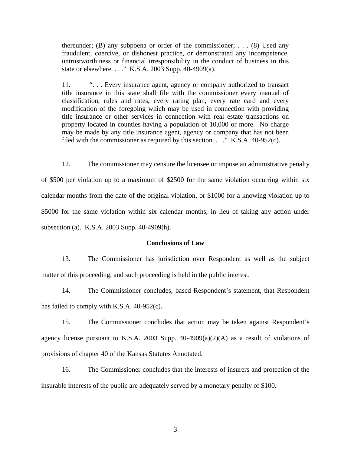thereunder; (B) any subpoena or order of the commissioner; ...  $(8)$  Used any fraudulent, coercive, or dishonest practice, or demonstrated any incompetence, untrustworthiness or financial irresponsibility in the conduct of business in this state or elsewhere. . . ." K.S.A. 2003 Supp. 40-4909(a).

11. "... Every insurance agent, agency or company authorized to transact title insurance in this state shall file with the commissioner every manual of classification, rules and rates, every rating plan, every rate card and every modification of the foregoing which may be used in connection with providing title insurance or other services in connection with real estate transactions on property located in counties having a population of 10,000 or more. No charge may be made by any title insurance agent, agency or company that has not been filed with the commissioner as required by this section.  $\ldots$ ." K.S.A. 40-952(c).

12. The commissioner may censure the licensee or impose an administrative penalty of \$500 per violation up to a maximum of \$2500 for the same violation occurring within six calendar months from the date of the original violation, or \$1000 for a knowing violation up to \$5000 for the same violation within six calendar months, in lieu of taking any action under subsection (a). K.S.A. 2003 Supp. 40-4909(h).

# **Conclusions of Law**

13. The Commissioner has jurisdiction over Respondent as well as the subject matter of this proceeding, and such proceeding is held in the public interest.

14. The Commissioner concludes, based Respondent's statement, that Respondent has failed to comply with K.S.A. 40-952(c).

15. The Commissioner concludes that action may be taken against Respondent's agency license pursuant to K.S.A. 2003 Supp.  $40-4909(a)(2)(A)$  as a result of violations of provisions of chapter 40 of the Kansas Statutes Annotated.

16. The Commissioner concludes that the interests of insurers and protection of the insurable interests of the public are adequately served by a monetary penalty of \$100.

3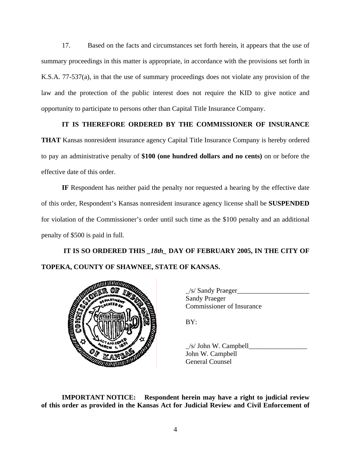17. Based on the facts and circumstances set forth herein, it appears that the use of summary proceedings in this matter is appropriate, in accordance with the provisions set forth in K.S.A. 77-537(a), in that the use of summary proceedings does not violate any provision of the law and the protection of the public interest does not require the KID to give notice and opportunity to participate to persons other than Capital Title Insurance Company.

# **IT IS THEREFORE ORDERED BY THE COMMISSIONER OF INSURANCE**

**THAT** Kansas nonresident insurance agency Capital Title Insurance Company is hereby ordered to pay an administrative penalty of **\$100 (one hundred dollars and no cents)** on or before the effective date of this order.

**IF** Respondent has neither paid the penalty nor requested a hearing by the effective date of this order, Respondent's Kansas nonresident insurance agency license shall be **SUSPENDED** for violation of the Commissioner's order until such time as the \$100 penalty and an additional penalty of \$500 is paid in full.

# **IT IS SO ORDERED THIS** *\_18th\_* **DAY OF FEBRUARY 2005, IN THE CITY OF TOPEKA, COUNTY OF SHAWNEE, STATE OF KANSAS.**



 $\angle$ s/ Sandy Praeger $\angle$ Sandy Praeger Commissioner of Insurance

 $/s/$  John W. Campbell John W. Campbell General Counsel

**IMPORTANT NOTICE: Respondent herein may have a right to judicial review of this order as provided in the Kansas Act for Judicial Review and Civil Enforcement of**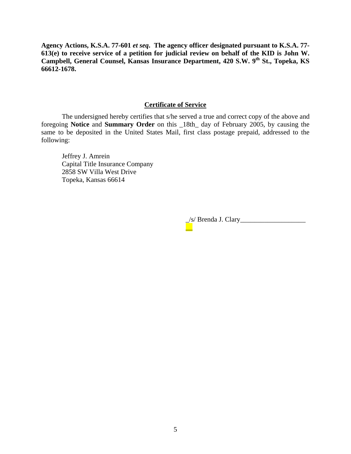**Agency Actions, K.S.A. 77-601** *et seq***. The agency officer designated pursuant to K.S.A. 77- 613(e) to receive service of a petition for judicial review on behalf of the KID is John W.**  Campbell, General Counsel, Kansas Insurance Department, 420 S.W. 9<sup>th</sup> St., Topeka, KS **66612-1678.** 

# **Certificate of Service**

 The undersigned hereby certifies that s/he served a true and correct copy of the above and foregoing **Notice** and **Summary Order** on this \_18th\_ day of February 2005, by causing the same to be deposited in the United States Mail, first class postage prepaid, addressed to the following:

Jeffrey J. Amrein Capital Title Insurance Company 2858 SW Villa West Drive Topeka, Kansas 66614

\_\_

\_/s/ Brenda J. Clary\_\_\_\_\_\_\_\_\_\_\_\_\_\_\_\_\_\_\_